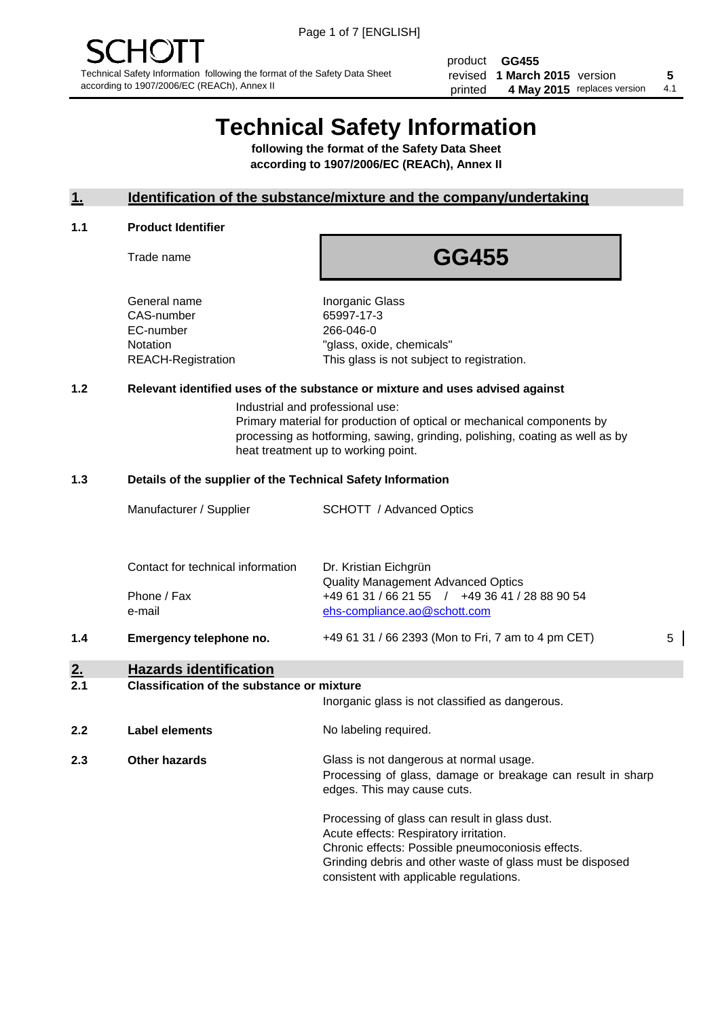product **GG455** revised **5 1 March 2015** version printed 4 May 2015 replaces version 4.1

# **Technical Safety Information**

**following the format of the Safety Data Sheet according to 1907/2006/EC (REACh), Annex II**

# **1. Identification of the substance/mixture and the company/undertaking**

#### **1.1 Product Identifier**

Trade name

# **GG455**

General name **Inorganic Glass** CAS-number 65997-17-3 EC-number 266-046-0

Notation "glass, oxide, chemicals" REACH-Registration This glass is not subject to registration.

# **1.2 Relevant identified uses of the substance or mixture and uses advised against**

Industrial and professional use: Primary material for production of optical or mechanical components by processing as hotforming, sawing, grinding, polishing, coating as well as by heat treatment up to working point.

### **1.3 Details of the supplier of the Technical Safety Information**

|           | Manufacturer / Supplier           | <b>SCHOTT</b> / Advanced Optics                    |   |
|-----------|-----------------------------------|----------------------------------------------------|---|
|           |                                   |                                                    |   |
|           |                                   |                                                    |   |
|           | Contact for technical information | Dr. Kristian Eichgrün                              |   |
|           |                                   | <b>Quality Management Advanced Optics</b>          |   |
|           | Phone / Fax                       | +49 61 31 / 66 21 55 / +49 36 41 / 28 88 90 54     |   |
|           | e-mail                            | ehs-compliance.ao@schott.com                       |   |
| 1.4       | Emergency telephone no.           | +49 61 31 / 66 2393 (Mon to Fri, 7 am to 4 pm CET) | 5 |
| <u>2.</u> | <b>Hazards identification</b>     |                                                    |   |
|           |                                   |                                                    |   |

#### **2.1 Classification of the substance or mixture**

|     |                      | Inorganic glass is not classified as dangerous.                                                                                                                                                                                                      |
|-----|----------------------|------------------------------------------------------------------------------------------------------------------------------------------------------------------------------------------------------------------------------------------------------|
| 2.2 | Label elements       | No labeling required.                                                                                                                                                                                                                                |
| 2.3 | <b>Other hazards</b> | Glass is not dangerous at normal usage.<br>Processing of glass, damage or breakage can result in sharp<br>edges. This may cause cuts.                                                                                                                |
|     |                      | Processing of glass can result in glass dust.<br>Acute effects: Respiratory irritation.<br>Chronic effects: Possible pneumoconiosis effects.<br>Grinding debris and other waste of glass must be disposed<br>consistent with applicable regulations. |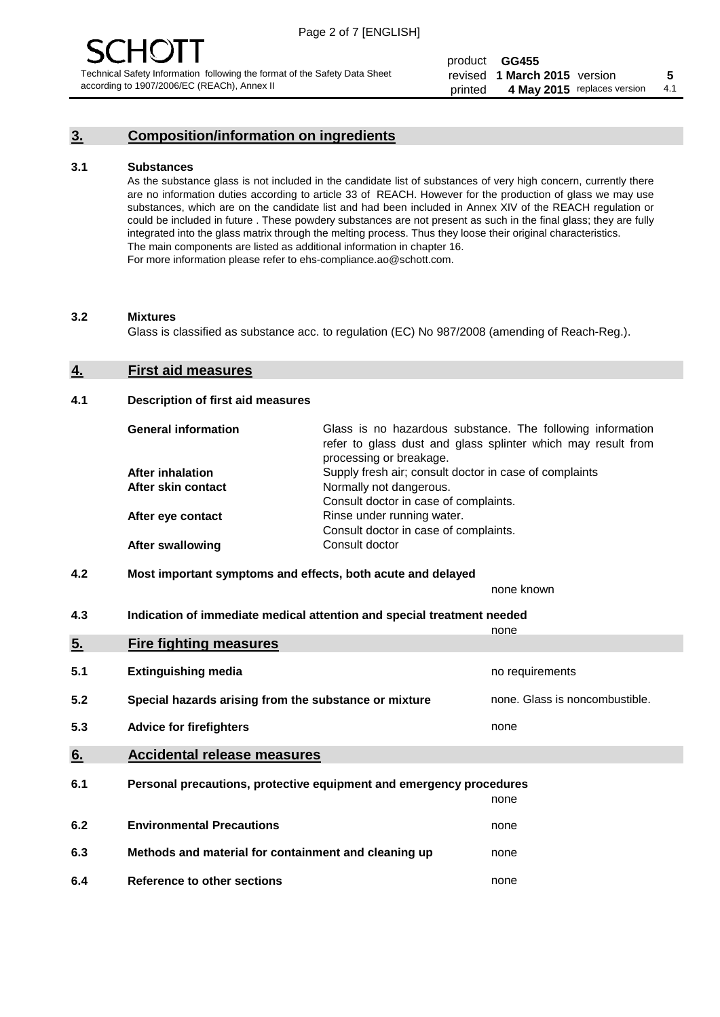# **3. Composition/information on ingredients**

#### **3.1 Substances**

As the substance glass is not included in the candidate list of substances of very high concern, currently there are no information duties according to article 33 of REACH. However for the production of glass we may use substances, which are on the candidate list and had been included in Annex XIV of the REACH regulation or could be included in future . These powdery substances are not present as such in the final glass; they are fully integrated into the glass matrix through the melting process. Thus they loose their original characteristics. The main components are listed as additional information in chapter 16. For more information please refer to ehs-compliance.ao@schott.com.

#### **3.2 Mixtures**

Glass is classified as substance acc. to regulation (EC) No 987/2008 (amending of Reach-Reg.).

### **4. First aid measures**

#### **4.1 Description of first aid measures**

| <b>General information</b> | Glass is no hazardous substance. The following information<br>refer to glass dust and glass splinter which may result from<br>processing or breakage. |
|----------------------------|-------------------------------------------------------------------------------------------------------------------------------------------------------|
| <b>After inhalation</b>    | Supply fresh air; consult doctor in case of complaints                                                                                                |
| After skin contact         | Normally not dangerous.                                                                                                                               |
|                            | Consult doctor in case of complaints.                                                                                                                 |
| After eye contact          | Rinse under running water.                                                                                                                            |
|                            | Consult doctor in case of complaints.                                                                                                                 |
| <b>After swallowing</b>    | Consult doctor                                                                                                                                        |

### **4.2 Most important symptoms and effects, both acute and delayed**

none known

**4.3 Indication of immediate medical attention and special treatment needed** 

|     |                                                                     | none                           |
|-----|---------------------------------------------------------------------|--------------------------------|
| 5.  | <b>Fire fighting measures</b>                                       |                                |
| 5.1 | <b>Extinguishing media</b>                                          | no requirements                |
| 5.2 | Special hazards arising from the substance or mixture               | none. Glass is noncombustible. |
| 5.3 | <b>Advice for firefighters</b>                                      | none                           |
| 6.  | <b>Accidental release measures</b>                                  |                                |
| 6.1 | Personal precautions, protective equipment and emergency procedures |                                |
|     |                                                                     | none                           |
| 6.2 | <b>Environmental Precautions</b>                                    | none                           |
| 6.3 | Methods and material for containment and cleaning up                | none                           |
| 6.4 | Reference to other sections                                         | none                           |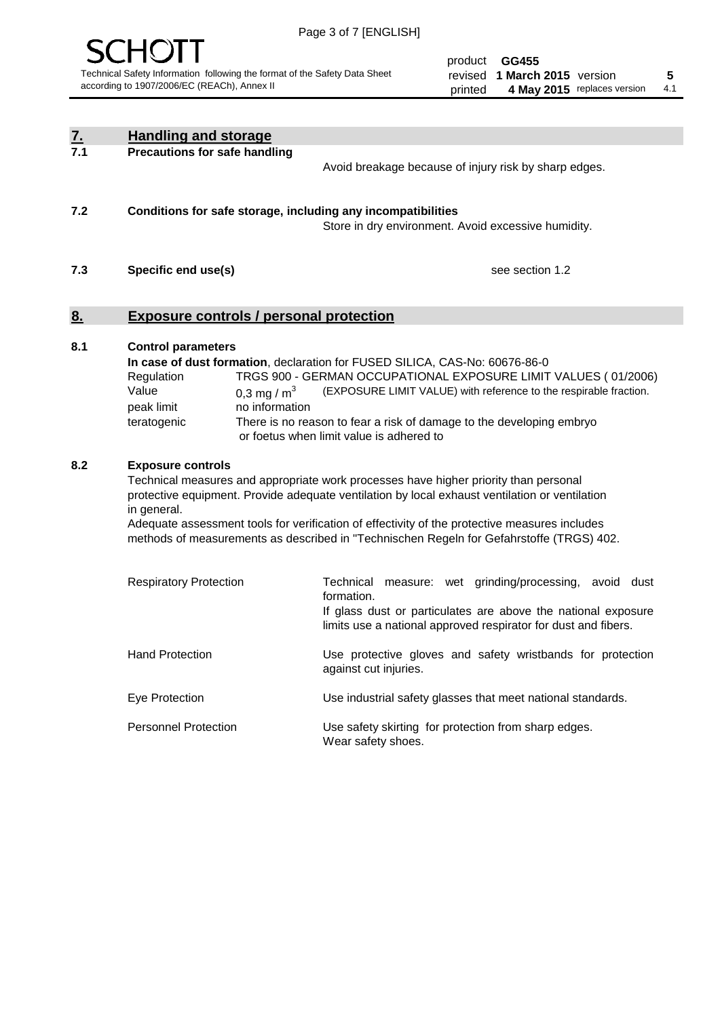

| <u>7.</u><br>7.1 | <b>Handling and storage</b>                                                                                      |                                                                                                                                                                                                                                                                                                                                                                                     |
|------------------|------------------------------------------------------------------------------------------------------------------|-------------------------------------------------------------------------------------------------------------------------------------------------------------------------------------------------------------------------------------------------------------------------------------------------------------------------------------------------------------------------------------|
|                  | <b>Precautions for safe handling</b>                                                                             | Avoid breakage because of injury risk by sharp edges.                                                                                                                                                                                                                                                                                                                               |
| 7.2              | Conditions for safe storage, including any incompatibilities                                                     | Store in dry environment. Avoid excessive humidity.                                                                                                                                                                                                                                                                                                                                 |
| 7.3              | Specific end use(s)                                                                                              | see section 1.2                                                                                                                                                                                                                                                                                                                                                                     |
| <u>8.</u>        | <b>Exposure controls / personal protection</b>                                                                   |                                                                                                                                                                                                                                                                                                                                                                                     |
| 8.1              | <b>Control parameters</b><br>Regulation<br>Value<br>0,3 mg / $m3$<br>peak limit<br>no information<br>teratogenic | In case of dust formation, declaration for FUSED SILICA, CAS-No: 60676-86-0<br>TRGS 900 - GERMAN OCCUPATIONAL EXPOSURE LIMIT VALUES (01/2006)<br>(EXPOSURE LIMIT VALUE) with reference to the respirable fraction.<br>There is no reason to fear a risk of damage to the developing embryo<br>or foetus when limit value is adhered to                                              |
| 8.2              | <b>Exposure controls</b><br>in general.                                                                          | Technical measures and appropriate work processes have higher priority than personal<br>protective equipment. Provide adequate ventilation by local exhaust ventilation or ventilation<br>Adequate assessment tools for verification of effectivity of the protective measures includes<br>methods of measurements as described in "Technischen Regeln for Gefahrstoffe (TRGS) 402. |
|                  | <b>Respiratory Protection</b>                                                                                    | Technical measure: wet grinding/processing, avoid dust<br>formation.<br>If glass dust or particulates are above the national exposure<br>limits use a national approved respirator for dust and fibers.                                                                                                                                                                             |
|                  | <b>Hand Protection</b>                                                                                           | Use protective gloves and safety wristbands for protection<br>against cut injuries.                                                                                                                                                                                                                                                                                                 |
|                  | Eye Protection                                                                                                   | Use industrial safety glasses that meet national standards.                                                                                                                                                                                                                                                                                                                         |
|                  | <b>Personnel Protection</b>                                                                                      | Use safety skirting for protection from sharp edges.<br>Wear safety shoes.                                                                                                                                                                                                                                                                                                          |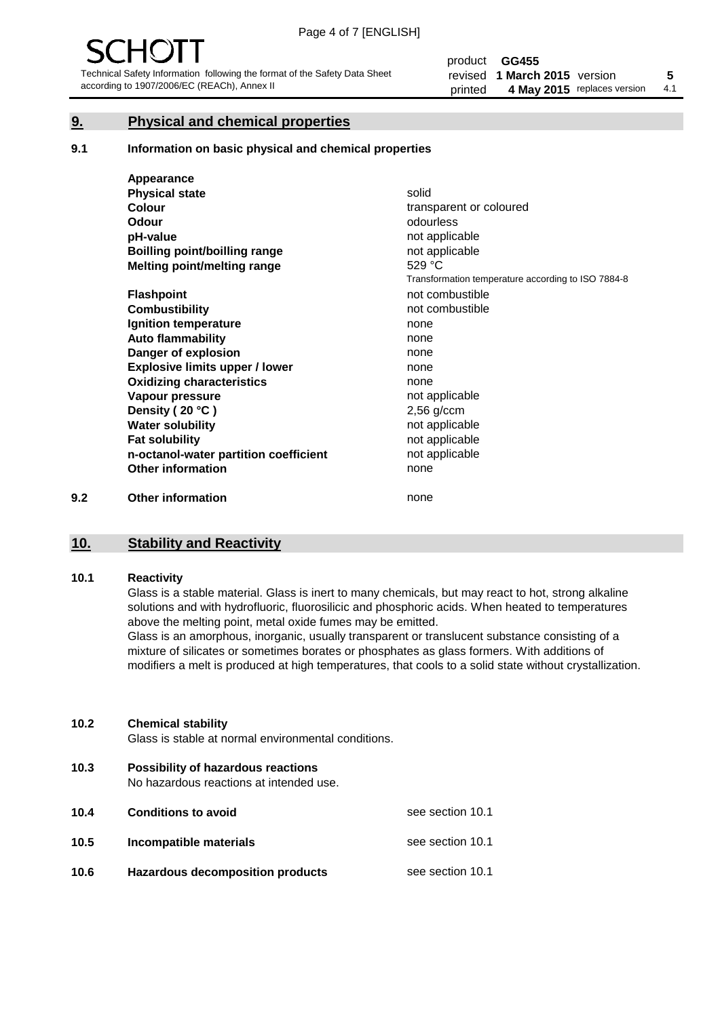# **9. Physical and chemical properties**

#### **9.1 Information on basic physical and chemical properties**

|     | Appearance                            |                                                    |
|-----|---------------------------------------|----------------------------------------------------|
|     | <b>Physical state</b>                 | solid                                              |
|     | <b>Colour</b>                         | transparent or coloured                            |
|     | <b>Odour</b>                          | odourless                                          |
|     | pH-value                              | not applicable                                     |
|     | Boilling point/boilling range         | not applicable                                     |
|     | Melting point/melting range           | 529 °C                                             |
|     |                                       | Transformation temperature according to ISO 7884-8 |
|     | <b>Flashpoint</b>                     | not combustible                                    |
|     | <b>Combustibility</b>                 | not combustible                                    |
|     | Ignition temperature                  | none                                               |
|     | <b>Auto flammability</b>              | none                                               |
|     | Danger of explosion                   | none                                               |
|     | <b>Explosive limits upper / lower</b> | none                                               |
|     | <b>Oxidizing characteristics</b>      | none                                               |
|     | Vapour pressure                       | not applicable                                     |
|     | Density (20 °C)                       | $2,56$ g/ccm                                       |
|     | <b>Water solubility</b>               | not applicable                                     |
|     | <b>Fat solubility</b>                 | not applicable                                     |
|     | n-octanol-water partition coefficient | not applicable                                     |
|     | <b>Other information</b>              | none                                               |
| 9.2 | <b>Other information</b>              | none                                               |

# **10. Stability and Reactivity**

#### **10.1 Reactivity**

Glass is a stable material. Glass is inert to many chemicals, but may react to hot, strong alkaline solutions and with hydrofluoric, fluorosilicic and phosphoric acids. When heated to temperatures above the melting point, metal oxide fumes may be emitted.

Glass is an amorphous, inorganic, usually transparent or translucent substance consisting of a mixture of silicates or sometimes borates or phosphates as glass formers. With additions of modifiers a melt is produced at high temperatures, that cools to a solid state without crystallization.

#### **10.2 Chemical stability**

Glass is stable at normal environmental conditions.

**10.3 Possibility of hazardous reactions** 

No hazardous reactions at intended use.

| 10.4 | <b>Conditions to avoid</b>              | see section 10.1 |
|------|-----------------------------------------|------------------|
| 10.5 | Incompatible materials                  | see section 10.1 |
| 10.6 | <b>Hazardous decomposition products</b> | see section 10.1 |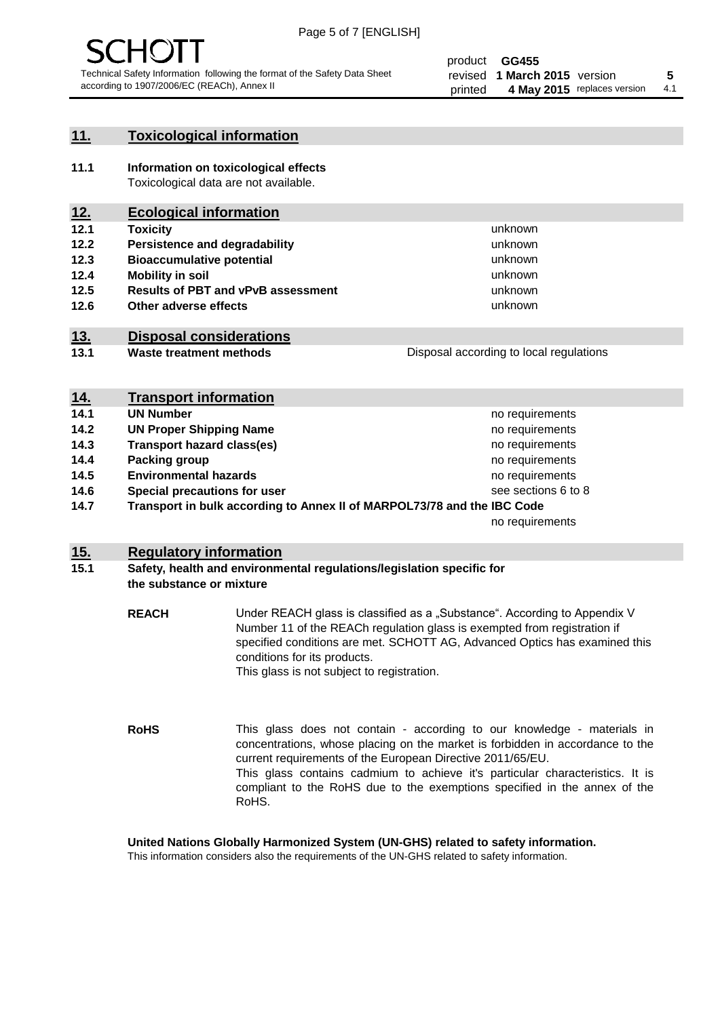

# **11. Toxicological information**

**11.1 Information on toxicological effects** Toxicological data are not available.

# **12. Ecological information**

- **12.1 Toxicity**
- **12.2 Persistence and degradability**
- **12.3 Bioaccumulative potential**
- **12.4 Mobility in soil**
- **12.5 Results of PBT and vPvB assessment**
- **12.6 Other adverse effects**

# **13. Disposal considerations**

**13.1 Waste treatment methods**

| Disposal according to local regulations |
|-----------------------------------------|
|                                         |

unknown unknown unknown unknown

unknown unknown

| <u>14.</u> | <b>Transport information</b>                                            |                     |
|------------|-------------------------------------------------------------------------|---------------------|
| 14.1       | <b>UN Number</b>                                                        | no requirements     |
| 14.2       | <b>UN Proper Shipping Name</b>                                          | no requirements     |
| 14.3       | <b>Transport hazard class(es)</b>                                       | no requirements     |
| 14.4       | Packing group                                                           | no requirements     |
| 14.5       | <b>Environmental hazards</b>                                            | no requirements     |
| 14.6       | Special precautions for user                                            | see sections 6 to 8 |
| 14.7       | Transport in bulk according to Annex II of MARPOL73/78 and the IBC Code |                     |
|            |                                                                         | no requirements     |

# **15. Regulatory information**

## **15.1 Safety, health and environmental regulations/legislation specific for the substance or mixture**

**REACH** Under REACH glass is classified as a "Substance". According to Appendix V Number 11 of the REACh regulation glass is exempted from registration if specified conditions are met. SCHOTT AG, Advanced Optics has examined this conditions for its products. This glass is not subject to registration.

**RoHS** This glass does not contain - according to our knowledge - materials in concentrations, whose placing on the market is forbidden in accordance to the current requirements of the European Directive 2011/65/EU. This glass contains cadmium to achieve it's particular characteristics. It is compliant to the RoHS due to the exemptions specified in the annex of the RoHS.

**United Nations Globally Harmonized System (UN-GHS) related to safety information.**

This information considers also the requirements of the UN-GHS related to safety information.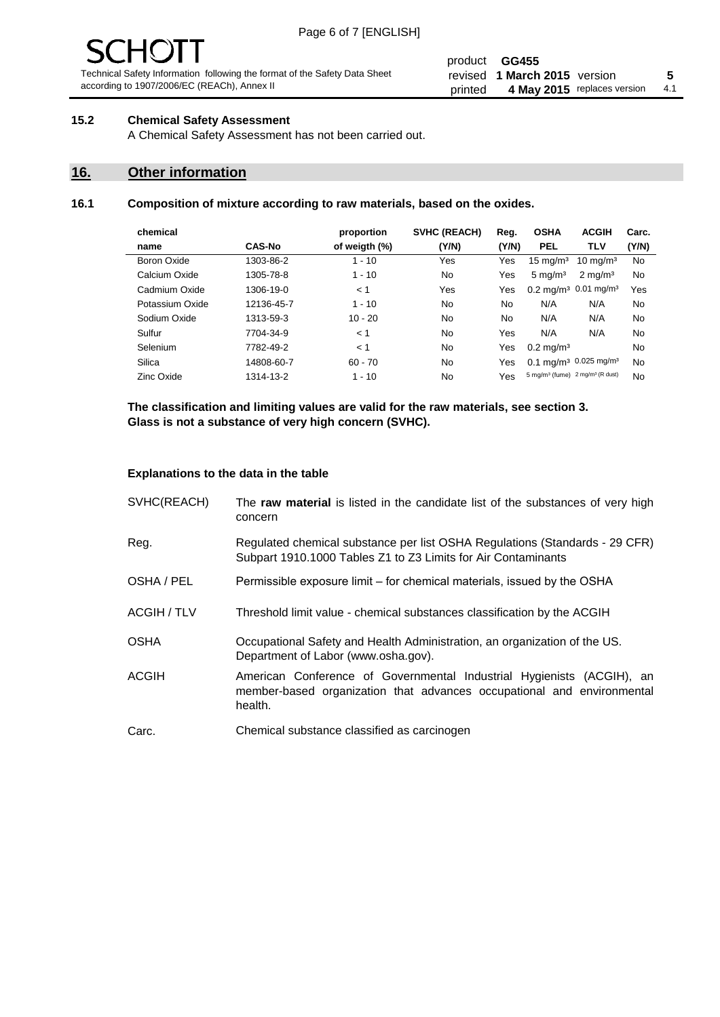# - JF

Technical Safety Information following the format of the Safety Data Sheet according to 1907/2006/EC (REACh), Annex II

#### product **GG455** revised **5 1 March 2015** version printed 4 May 2015 replaces version 4.1

# **15.2 Chemical Safety Assessment**

A Chemical Safety Assessment has not been carried out.

# **16. Other information**

# **16.1 Composition of mixture according to raw materials, based on the oxides.**

| chemical        |               | proportion    | <b>SVHC (REACH)</b> | Reg.  | <b>OSHA</b>                                             | <b>ACGIH</b>                                 | Carc. |
|-----------------|---------------|---------------|---------------------|-------|---------------------------------------------------------|----------------------------------------------|-------|
| name            | <b>CAS-No</b> | of weigth (%) | (Y/N)               | (Y/N) | <b>PEL</b>                                              | <b>TLV</b>                                   | (Y/N) |
| Boron Oxide     | 1303-86-2     | $1 - 10$      | Yes                 | Yes   | $15 \text{ mg/m}^3$                                     | $10 \text{ mg/m}^3$                          | No    |
| Calcium Oxide   | 1305-78-8     | $1 - 10$      | No                  | Yes   | $5 \text{ mg/m}^3$                                      | $2 \text{ mg/m}^3$                           | No    |
| Cadmium Oxide   | 1306-19-0     | < 1           | Yes                 | Yes   |                                                         | $0.2 \text{ mg/m}^3$ 0.01 mg/m <sup>3</sup>  | Yes   |
| Potassium Oxide | 12136-45-7    | $1 - 10$      | No                  | No    | N/A                                                     | N/A                                          | No    |
| Sodium Oxide    | 1313-59-3     | $10 - 20$     | <b>No</b>           | No.   | N/A                                                     | N/A                                          | No    |
| Sulfur          | 7704-34-9     | < 1           | No                  | Yes   | N/A                                                     | N/A                                          | No    |
| Selenium        | 7782-49-2     | < 1           | No                  | Yes   | $0.2 \,\mathrm{mq/m^3}$                                 |                                              | No    |
| Silica          | 14808-60-7    | $60 - 70$     | No.                 | Yes   |                                                         | $0.1 \text{ mg/m}^3$ 0.025 mg/m <sup>3</sup> | No    |
| Zinc Oxide      | 1314-13-2     | $1 - 10$      | No                  | Yes   | 5 mg/m <sup>3</sup> (fume) 2 mg/m <sup>3</sup> (R dust) |                                              | No    |

**The classification and limiting values are valid for the raw materials, see section 3. Glass is not a substance of very high concern (SVHC).**

#### **Explanations to the data in the table**

| SVHC(REACH)        | The raw material is listed in the candidate list of the substances of very high<br>concern                                                                 |
|--------------------|------------------------------------------------------------------------------------------------------------------------------------------------------------|
| Reg.               | Regulated chemical substance per list OSHA Regulations (Standards - 29 CFR)<br>Subpart 1910.1000 Tables Z1 to Z3 Limits for Air Contaminants               |
| OSHA / PEL         | Permissible exposure limit – for chemical materials, issued by the OSHA                                                                                    |
| <b>ACGIH / TLV</b> | Threshold limit value - chemical substances classification by the ACGIH                                                                                    |
| <b>OSHA</b>        | Occupational Safety and Health Administration, an organization of the US.<br>Department of Labor (www.osha.gov).                                           |
| ACGIH              | American Conference of Governmental Industrial Hygienists (ACGIH), an<br>member-based organization that advances occupational and environmental<br>health. |
| Carc.              | Chemical substance classified as carcinogen                                                                                                                |